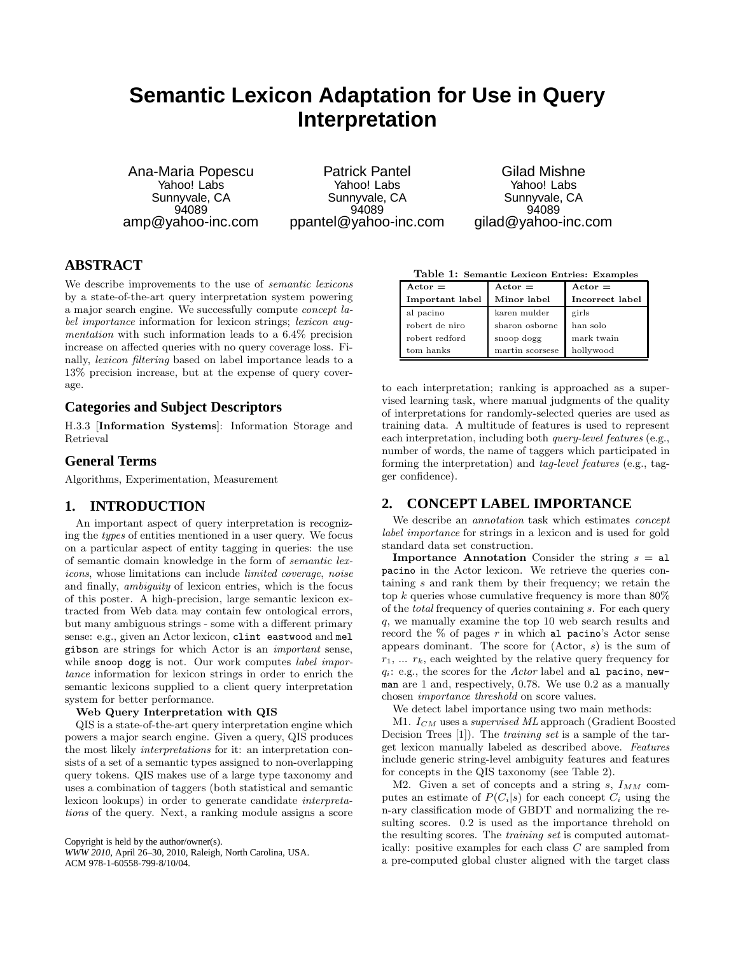# **Semantic Lexicon Adaptation for Use in Query Interpretation**

Ana-Maria Popescu Yahoo! Labs Sunnyvale, CA 94089 amp@yahoo-inc.com

Patrick Pantel Yahoo! Labs Sunnyvale, CA 94089 ppantel@yahoo-inc.com

Gilad Mishne Yahoo! Labs Sunnyvale, CA 94089 gilad@yahoo-inc.com

# **ABSTRACT**

We describe improvements to the use of *semantic lexicons* by a state-of-the-art query interpretation system powering a major search engine. We successfully compute concept label *importance* information for lexicon strings; *lexicon aug*mentation with such information leads to a 6.4% precision increase on affected queries with no query coverage loss. Finally, lexicon filtering based on label importance leads to a 13% precision increase, but at the expense of query coverage.

## **Categories and Subject Descriptors**

H.3.3 [Information Systems]: Information Storage and Retrieval

### **General Terms**

Algorithms, Experimentation, Measurement

## **1. INTRODUCTION**

An important aspect of query interpretation is recognizing the types of entities mentioned in a user query. We focus on a particular aspect of entity tagging in queries: the use of semantic domain knowledge in the form of semantic lexicons, whose limitations can include limited coverage, noise and finally, ambiguity of lexicon entries, which is the focus of this poster. A high-precision, large semantic lexicon extracted from Web data may contain few ontological errors, but many ambiguous strings - some with a different primary sense: e.g., given an Actor lexicon, clint eastwood and mel gibson are strings for which Actor is an important sense, while snoop dogg is not. Our work computes label importance information for lexicon strings in order to enrich the semantic lexicons supplied to a client query interpretation system for better performance.

#### Web Query Interpretation with QIS

QIS is a state-of-the-art query interpretation engine which powers a major search engine. Given a query, QIS produces the most likely interpretations for it: an interpretation consists of a set of a semantic types assigned to non-overlapping query tokens. QIS makes use of a large type taxonomy and uses a combination of taggers (both statistical and semantic lexicon lookups) in order to generate candidate interpretations of the query. Next, a ranking module assigns a score

Copyright is held by the author/owner(s). *WWW 2010,* April 26–30, 2010, Raleigh, North Carolina, USA. ACM 978-1-60558-799-8/10/04.

Table 1: Semantic Lexicon Entries: Examples

| $Action =$      | $Actor =$       | $Actor =$       |  |
|-----------------|-----------------|-----------------|--|
| Important label | Minor label     | Incorrect label |  |
| al pacino       | karen mulder    | girls           |  |
| robert de niro  | sharon osborne  | han solo        |  |
| robert redford  | snoop dogg      | mark twain      |  |
| tom hanks       | martin scorsese | hollywood       |  |

to each interpretation; ranking is approached as a supervised learning task, where manual judgments of the quality of interpretations for randomly-selected queries are used as training data. A multitude of features is used to represent each interpretation, including both query-level features (e.g., number of words, the name of taggers which participated in forming the interpretation) and tag-level features (e.g., tagger confidence).

## **2. CONCEPT LABEL IMPORTANCE**

We describe an *annotation* task which estimates *concept* label importance for strings in a lexicon and is used for gold standard data set construction.

**Importance Annotation** Consider the string  $s = a1$ pacino in the Actor lexicon. We retrieve the queries containing s and rank them by their frequency; we retain the top  $k$  queries whose cumulative frequency is more than  $80\%$ of the total frequency of queries containing s. For each query q, we manually examine the top 10 web search results and record the  $\%$  of pages r in which al pacino's Actor sense appears dominant. The score for (Actor, s) is the sum of  $r_1, \ldots, r_k$ , each weighted by the relative query frequency for  $q_i$ : e.g., the scores for the Actor label and al pacino, newman are 1 and, respectively, 0.78. We use 0.2 as a manually chosen importance threshold on score values.

We detect label importance using two main methods:

M1.  $I_{CM}$  uses a *supervised ML* approach (Gradient Boosted Decision Trees [1]). The training set is a sample of the target lexicon manually labeled as described above. Features include generic string-level ambiguity features and features for concepts in the QIS taxonomy (see Table 2).

M2. Given a set of concepts and a string s,  $I_{MM}$  computes an estimate of  $P(C_i|s)$  for each concept  $C_i$  using the n-ary classification mode of GBDT and normalizing the resulting scores. 0.2 is used as the importance threhold on the resulting scores. The training set is computed automatically: positive examples for each class C are sampled from a pre-computed global cluster aligned with the target class